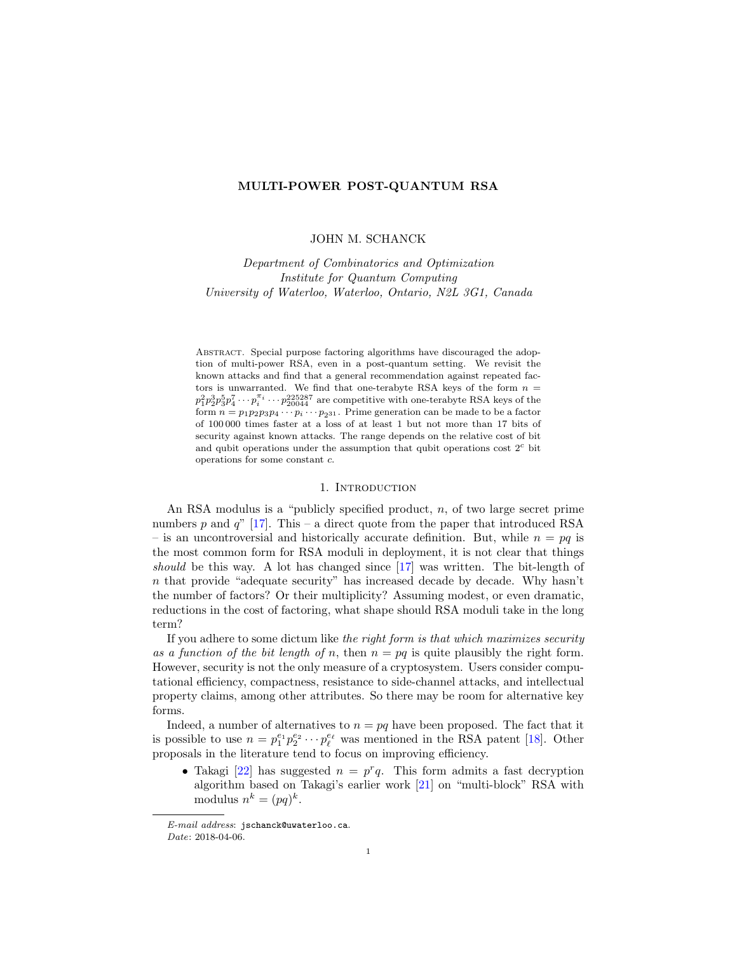## MULTI-POWER POST-QUANTUM RSA

## JOHN M. SCHANCK

Department of Combinatorics and Optimization Institute for Quantum Computing University of Waterloo, Waterloo, Ontario, N2L 3G1, Canada

Abstract. Special purpose factoring algorithms have discouraged the adoption of multi-power RSA, even in a post-quantum setting. We revisit the known attacks and find that a general recommendation against repeated factors is unwarranted. We find that one-terabyte RSA keys of the form  $n =$  $p_1^2 p_2^3 p_3^5 p_4^7 \cdots p_i^{\pi_i} \cdots p_{20044}^{225287}$  are competitive with one-terabyte RSA keys of the form  $n = p_1 p_2 p_3 p_4 \cdots p_i \cdots p_{2^{31}}$ . Prime generation can be made to be a factor of 100 000 times faster at a loss of at least 1 but not more than 17 bits of security against known attacks. The range depends on the relative cost of bit and qubit operations under the assumption that qubit operations cost  $2<sup>c</sup>$  bit operations for some constant c.

### 1. INTRODUCTION

An RSA modulus is a "publicly specified product, n, of two large secret prime numbers p and  $q''$  [\[17\]](#page-11-0). This – a direct quote from the paper that introduced RSA – is an uncontroversial and historically accurate definition. But, while  $n = pq$  is the most common form for RSA moduli in deployment, it is not clear that things should be this way. A lot has changed since [\[17\]](#page-11-0) was written. The bit-length of n that provide "adequate security" has increased decade by decade. Why hasn't the number of factors? Or their multiplicity? Assuming modest, or even dramatic, reductions in the cost of factoring, what shape should RSA moduli take in the long term?

If you adhere to some dictum like the right form is that which maximizes security as a function of the bit length of n, then  $n = pq$  is quite plausibly the right form. However, security is not the only measure of a cryptosystem. Users consider computational efficiency, compactness, resistance to side-channel attacks, and intellectual property claims, among other attributes. So there may be room for alternative key forms.

Indeed, a number of alternatives to  $n = pq$  have been proposed. The fact that it is possible to use  $n = p_1^{e_1} p_2^{e_2} \cdots p_\ell^{e_\ell}$  was mentioned in the RSA patent [\[18\]](#page-11-1). Other proposals in the literature tend to focus on improving efficiency.

• Takagi [\[22\]](#page-11-2) has suggested  $n = p^r q$ . This form admits a fast decryption algorithm based on Takagi's earlier work [\[21\]](#page-11-3) on "multi-block" RSA with modulus  $n^k = (pq)^k$ .

E-mail address: jschanck@uwaterloo.ca.

Date: 2018-04-06.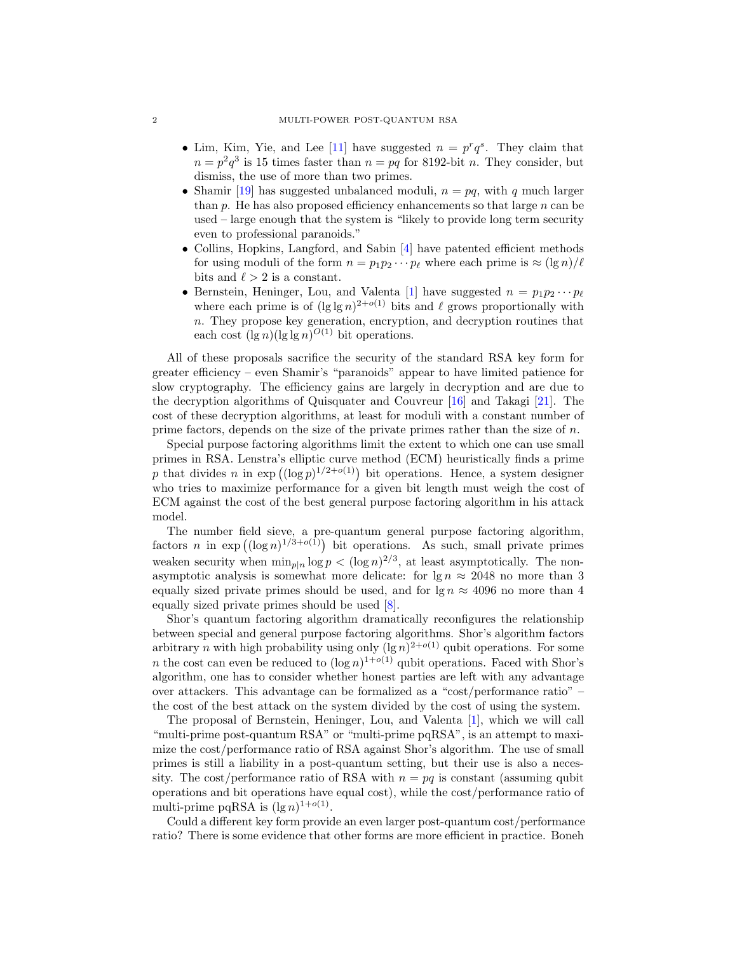#### 2 MULTI-POWER POST-QUANTUM RSA

- Lim, Kim, Yie, and Lee [\[11\]](#page-11-4) have suggested  $n = p^r q^s$ . They claim that  $n = p^2 q^3$  is 15 times faster than  $n = pq$  for 8192-bit n. They consider, but dismiss, the use of more than two primes.
- Shamir [\[19\]](#page-11-5) has suggested unbalanced moduli,  $n = pq$ , with q much larger than  $p$ . He has also proposed efficiency enhancements so that large  $n$  can be used – large enough that the system is "likely to provide long term security even to professional paranoids."
- Collins, Hopkins, Langford, and Sabin [\[4\]](#page-11-6) have patented efficient methods for using moduli of the form  $n = p_1 p_2 \cdots p_\ell$  where each prime is  $\approx (\lg n)/\ell$ bits and  $\ell > 2$  is a constant.
- Bernstein, Heninger, Lou, and Valenta [\[1\]](#page-11-7) have suggested  $n = p_1 p_2 \cdots p_\ell$ where each prime is of  $(\lg \lg n)^{2+o(1)}$  bits and  $\ell$  grows proportionally with  $n.$  They propose key generation, encryption, and decryption routines that each cost  $(\lg n)(\lg \lg n)^{O(1)}$  bit operations.

All of these proposals sacrifice the security of the standard RSA key form for greater efficiency – even Shamir's "paranoids" appear to have limited patience for slow cryptography. The efficiency gains are largely in decryption and are due to the decryption algorithms of Quisquater and Couvreur [\[16\]](#page-11-8) and Takagi [\[21\]](#page-11-3). The cost of these decryption algorithms, at least for moduli with a constant number of prime factors, depends on the size of the private primes rather than the size of  $n$ .

Special purpose factoring algorithms limit the extent to which one can use small primes in RSA. Lenstra's elliptic curve method (ECM) heuristically finds a prime p that divides n in  $\exp((\log p)^{1/2+o(1)})$  bit operations. Hence, a system designer who tries to maximize performance for a given bit length must weigh the cost of ECM against the cost of the best general purpose factoring algorithm in his attack model.

The number field sieve, a pre-quantum general purpose factoring algorithm, factors *n* in  $\exp((\log n)^{1/3+o(1)})$  bit operations. As such, small private primes weaken security when  $\min_{p|n} \log p < (\log n)^{2/3}$ , at least asymptotically. The nonasymptotic analysis is somewhat more delicate: for  $\lg n \approx 2048$  no more than 3 equally sized private primes should be used, and for  $\lg n \approx 4096$  no more than 4 equally sized private primes should be used [\[8\]](#page-11-9).

Shor's quantum factoring algorithm dramatically reconfigures the relationship between special and general purpose factoring algorithms. Shor's algorithm factors arbitrary *n* with high probability using only  $(\lg n)^{2+o(1)}$  qubit operations. For some *n* the cost can even be reduced to  $(\log n)^{1+o(1)}$  qubit operations. Faced with Shor's algorithm, one has to consider whether honest parties are left with any advantage over attackers. This advantage can be formalized as a "cost/performance ratio" – the cost of the best attack on the system divided by the cost of using the system.

The proposal of Bernstein, Heninger, Lou, and Valenta [\[1\]](#page-11-7), which we will call "multi-prime post-quantum RSA" or "multi-prime pqRSA", is an attempt to maximize the cost/performance ratio of RSA against Shor's algorithm. The use of small primes is still a liability in a post-quantum setting, but their use is also a necessity. The cost/performance ratio of RSA with  $n = pq$  is constant (assuming qubit operations and bit operations have equal cost), while the cost/performance ratio of multi-prime pqRSA is  $(\lg n)^{1+o(1)}$ .

Could a different key form provide an even larger post-quantum cost/performance ratio? There is some evidence that other forms are more efficient in practice. Boneh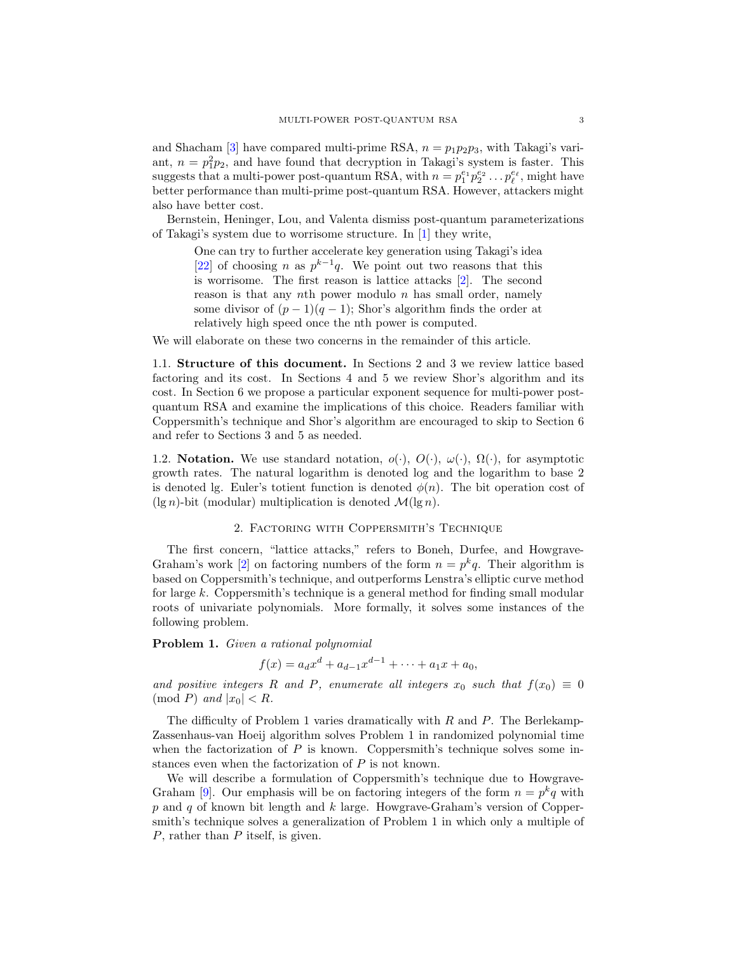and Shacham [\[3\]](#page-11-10) have compared multi-prime RSA,  $n = p_1p_2p_3$ , with Takagi's variant,  $n = p_1^2 p_2$ , and have found that decryption in Takagi's system is faster. This suggests that a multi-power post-quantum RSA, with  $n = p_1^{e_1} p_2^{e_2} \dots p_\ell^{e_\ell}$ , might have better performance than multi-prime post-quantum RSA. However, attackers might also have better cost.

Bernstein, Heninger, Lou, and Valenta dismiss post-quantum parameterizations of Takagi's system due to worrisome structure. In [\[1\]](#page-11-7) they write,

One can try to further accelerate key generation using Takagi's idea [\[22\]](#page-11-2) of choosing n as  $p^{k-1}q$ . We point out two reasons that this is worrisome. The first reason is lattice attacks [\[2\]](#page-11-11). The second reason is that any nth power modulo  $n$  has small order, namely some divisor of  $(p-1)(q-1)$ ; Shor's algorithm finds the order at relatively high speed once the nth power is computed.

We will elaborate on these two concerns in the remainder of this article.

1.1. Structure of this document. In Sections [2](#page-2-0) and [3](#page-5-0) we review lattice based factoring and its cost. In Sections [4](#page-6-0) and [5](#page-7-0) we review Shor's algorithm and its cost. In Section [6](#page-8-0) we propose a particular exponent sequence for multi-power postquantum RSA and examine the implications of this choice. Readers familiar with Coppersmith's technique and Shor's algorithm are encouraged to skip to Section [6](#page-8-0) and refer to Sections [3](#page-5-0) and [5](#page-7-0) as needed.

1.2. Notation. We use standard notation,  $o(\cdot)$ ,  $O(\cdot)$ ,  $\omega(\cdot)$ ,  $\Omega(\cdot)$ , for asymptotic growth rates. The natural logarithm is denoted log and the logarithm to base 2 is denoted lg. Euler's totient function is denoted  $\phi(n)$ . The bit operation cost of  $(\lg n)$ -bit (modular) multiplication is denoted  $\mathcal{M}(\lg n)$ .

# 2. Factoring with Coppersmith's Technique

<span id="page-2-0"></span>The first concern, "lattice attacks," refers to Boneh, Durfee, and Howgrave-Graham's work [\[2\]](#page-11-11) on factoring numbers of the form  $n = p^k q$ . Their algorithm is based on Coppersmith's technique, and outperforms Lenstra's elliptic curve method for large k. Coppersmith's technique is a general method for finding small modular roots of univariate polynomials. More formally, it solves some instances of the following problem.

<span id="page-2-1"></span>Problem 1. Given a rational polynomial

 $f(x) = a_d x^d + a_{d-1} x^{d-1} + \cdots + a_1 x + a_0,$ 

and positive integers R and P, enumerate all integers  $x_0$  such that  $f(x_0) \equiv 0$  $\pmod{P}$  and  $|x_0| < R$ .

The difficulty of Problem [1](#page-2-1) varies dramatically with  $R$  and  $P$ . The Berlekamp-Zassenhaus-van Hoeij algorithm solves Problem [1](#page-2-1) in randomized polynomial time when the factorization of  $P$  is known. Coppersmith's technique solves some instances even when the factorization of P is not known.

We will describe a formulation of Coppersmith's technique due to Howgrave-Graham [\[9\]](#page-11-12). Our emphasis will be on factoring integers of the form  $n = p^k q$  with  $p$  and  $q$  of known bit length and  $k$  large. Howgrave-Graham's version of Coppersmith's technique solves a generalization of Problem [1](#page-2-1) in which only a multiple of P, rather than P itself, is given.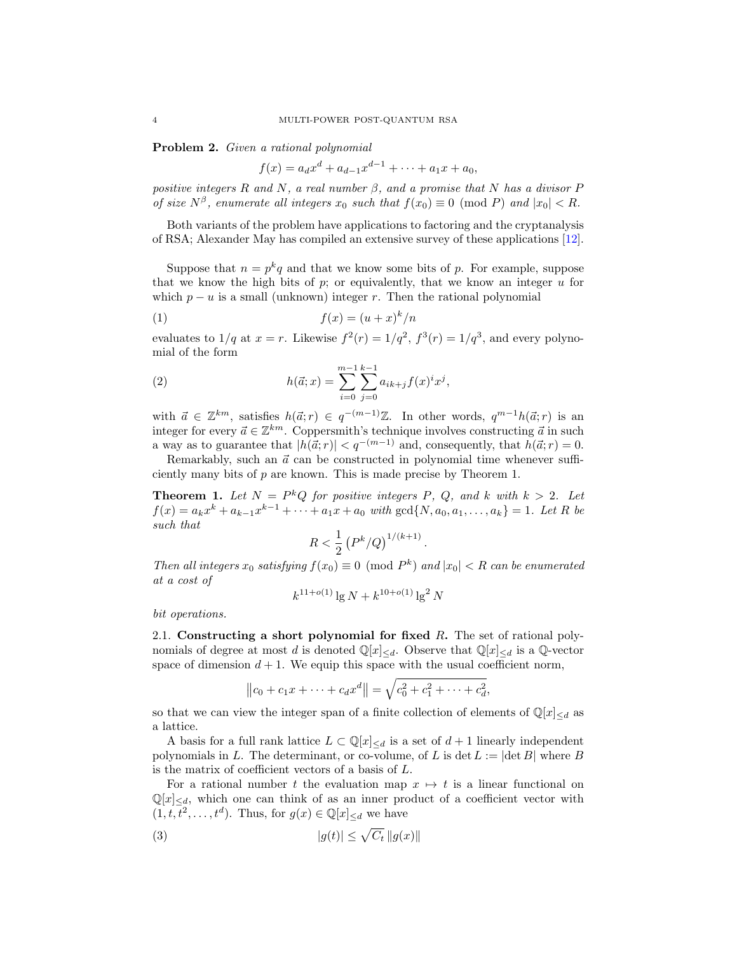Problem 2. Given a rational polynomial

<span id="page-3-1"></span>
$$
f(x) = a_d x^d + a_{d-1} x^{d-1} + \dots + a_1 x + a_0,
$$

positive integers R and N, a real number  $\beta$ , and a promise that N has a divisor P of size  $N^{\beta}$ , enumerate all integers  $x_0$  such that  $f(x_0) \equiv 0 \pmod{P}$  and  $|x_0| < R$ .

Both variants of the problem have applications to factoring and the cryptanalysis of RSA; Alexander May has compiled an extensive survey of these applications [\[12\]](#page-11-13).

Suppose that  $n = p^k q$  and that we know some bits of p. For example, suppose that we know the high bits of p; or equivalently, that we know an integer  $u$  for which  $p - u$  is a small (unknown) integer r. Then the rational polynomial

$$
(1) \t\t f(x) = (u+x)^k/n
$$

evaluates to  $1/q$  at  $x = r$ . Likewise  $f^2(r) = 1/q^2$ ,  $f^3(r) = 1/q^3$ , and every polynomial of the form

(2) 
$$
h(\vec{a};x) = \sum_{i=0}^{m-1} \sum_{j=0}^{k-1} a_{ik+j} f(x)^i x^j,
$$

with  $\vec{a} \in \mathbb{Z}^{km}$ , satisfies  $h(\vec{a}; r) \in q^{-(m-1)}\mathbb{Z}$ . In other words,  $q^{m-1}h(\vec{a};r)$  is an integer for every  $\vec{a} \in \mathbb{Z}^{km}$ . Coppersmith's technique involves constructing  $\vec{a}$  in such a way as to guarantee that  $|h(d;r)| < q^{-(m-1)}$  and, consequently, that  $h(d;r) = 0$ .

Remarkably, such an  $\vec{a}$  can be constructed in polynomial time whenever sufficiently many bits of  $p$  are known. This is made precise by Theorem [1.](#page-3-0)

<span id="page-3-0"></span>**Theorem 1.** Let  $N = P^k Q$  for positive integers P, Q, and k with  $k > 2$ . Let  $f(x) = a_k x^k + a_{k-1} x^{k-1} + \cdots + a_1 x + a_0 \text{ with } \gcd\{N, a_0, a_1, \ldots, a_k\} = 1.$  Let R be such that

$$
R<\frac{1}{2}\left(P^k/Q\right)^{1/(k+1)}.
$$

Then all integers  $x_0$  satisfying  $f(x_0) \equiv 0 \pmod{P^k}$  and  $|x_0| < R$  can be enumerated at a cost of

$$
k^{11+o(1)}\lg N + k^{10+o(1)}\lg^2 N
$$

bit operations.

2.1. Constructing a short polynomial for fixed  $R$ . The set of rational polynomials of degree at most d is denoted  $\mathbb{Q}[x]_{\leq d}$ . Observe that  $\mathbb{Q}[x]_{\leq d}$  is a  $\mathbb{Q}$ -vector space of dimension  $d + 1$ . We equip this space with the usual coefficient norm,

$$
||c_0 + c_1 x + \dots + c_d x^d|| = \sqrt{c_0^2 + c_1^2 + \dots + c_d^2},
$$

so that we can view the integer span of a finite collection of elements of  $\mathbb{Q}[x]_{\leq d}$  as a lattice.

A basis for a full rank lattice  $L \subset \mathbb{Q}[x]_{\le d}$  is a set of  $d+1$  linearly independent polynomials in L. The determinant, or co-volume, of L is det  $L := |\det B|$  where B is the matrix of coefficient vectors of a basis of L.

For a rational number t the evaluation map  $x \mapsto t$  is a linear functional on  $\mathbb{Q}[x]_{\le d}$ , which one can think of as an inner product of a coefficient vector with  $(1, t, \overline{t}^2, \ldots, t^d)$ . Thus, for  $g(x) \in \mathbb{Q}[x]_{\leq d}$  we have

$$
(3) \t\t |g(t)| \le \sqrt{C_t} \, \|g(x)\|
$$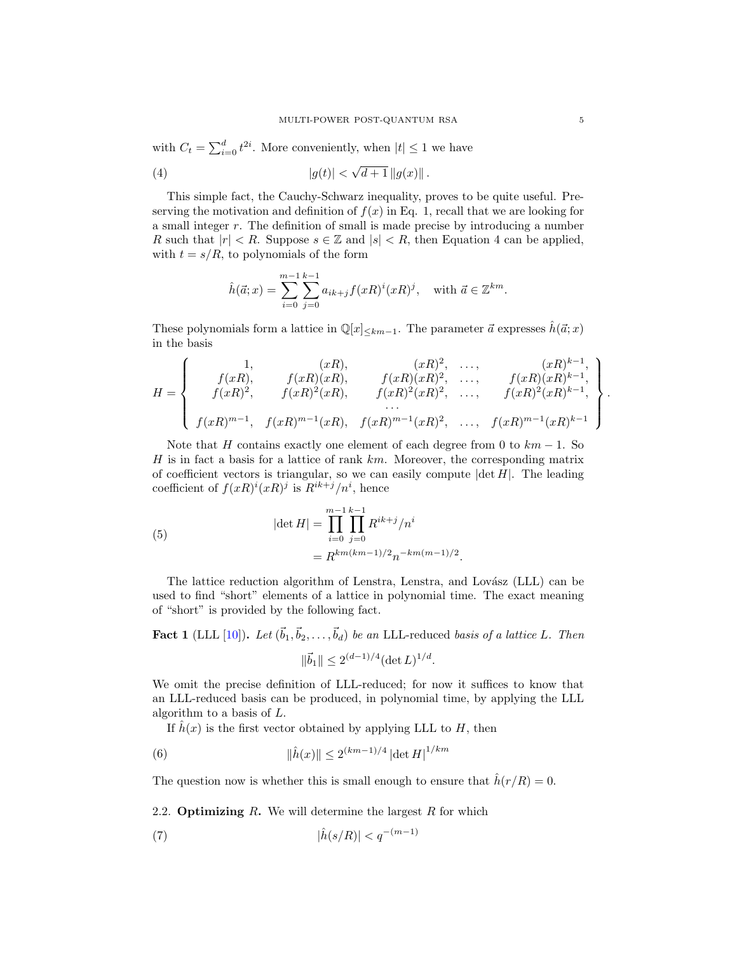with  $C_t = \sum_{i=0}^d t^{2i}$ . More conveniently, when  $|t| \leq 1$  we have

(4) 
$$
|g(t)| < \sqrt{d+1} ||g(x)||
$$
.

This simple fact, the Cauchy-Schwarz inequality, proves to be quite useful. Preserving the motivation and definition of  $f(x)$  in Eq. [1,](#page-3-1) recall that we are looking for a small integer  $r$ . The definition of small is made precise by introducing a number R such that  $|r| < R$ . Suppose  $s \in \mathbb{Z}$  and  $|s| < R$ , then Equation [4](#page-4-0) can be applied, with  $t = s/R$ , to polynomials of the form

<span id="page-4-0"></span>
$$
\hat{h}(\vec{a};x) = \sum_{i=0}^{m-1} \sum_{j=0}^{k-1} a_{ik+j} f(xR)^i (xR)^j, \text{ with } \vec{a} \in \mathbb{Z}^{km}.
$$

These polynomials form a lattice in  $\mathbb{Q}[x]_{\leq km-1}$ . The parameter  $\vec{a}$  expresses  $\hat{h}(\vec{a}; x)$ in the basis

$$
H = \begin{Bmatrix} 1, & (xR), & (xR)^2, & \dots, & (xR)^{k-1}, \\ f(xR), & f(xR)(xR), & f(xR)(xR)^2, & \dots, & f(xR)(xR)^{k-1}, \\ f(xR)^2, & f(xR)^2(xR), & f(xR)^2(xR)^2, & \dots, & f(xR)^2(xR)^{k-1}, \\ \dots & & & & \dots \\ f(xR)^{m-1}, & f(xR)^{m-1}(xR), & f(xR)^{m-1}(xR)^2, & \dots, & f(xR)^{m-1}(xR)^{k-1} \end{Bmatrix}.
$$

Note that H contains exactly one element of each degree from 0 to  $km - 1$ . So H is in fact a basis for a lattice of rank  $km$ . Moreover, the corresponding matrix of coefficient vectors is triangular, so we can easily compute  $|\det H|$ . The leading coefficient of  $f(xR)^i(xR)^j$  is  $R^{ik+j}/n^i$ , hence

<span id="page-4-2"></span>(5) 
$$
|\det H| = \prod_{i=0}^{m-1} \prod_{j=0}^{k-1} R^{ik+j}/n^i
$$

$$
= R^{km(km-1)/2} n^{-km(m-1)/2}.
$$

The lattice reduction algorithm of Lenstra, Lenstra, and Lovász (LLL) can be used to find "short" elements of a lattice in polynomial time. The exact meaning of "short" is provided by the following fact.

<span id="page-4-4"></span>**Fact 1** (LLL [\[10\]](#page-11-14)). Let  $(\vec{b}_1, \vec{b}_2, \ldots, \vec{b}_d)$  be an LLL-reduced basis of a lattice L. Then  $\|\vec{b}_1\| \leq 2^{(d-1)/4} (\det L)^{1/d}.$ 

We omit the precise definition of LLL-reduced; for now it suffices to know that an LLL-reduced basis can be produced, in polynomial time, by applying the LLL algorithm to a basis of L.

If  $\hat{h}(x)$  is the first vector obtained by applying LLL to H, then

<span id="page-4-3"></span>(6) 
$$
\|\hat{h}(x)\| \le 2^{(km-1)/4} |\det H|^{1/km}
$$

The question now is whether this is small enough to ensure that  $\hat{h}(r/R) = 0$ .

2.2. **Optimizing R.** We will determine the largest  $R$  for which

<span id="page-4-1"></span>
$$
(7) \qquad |\hat{h}(s/R)| < q^{-(m-1)}
$$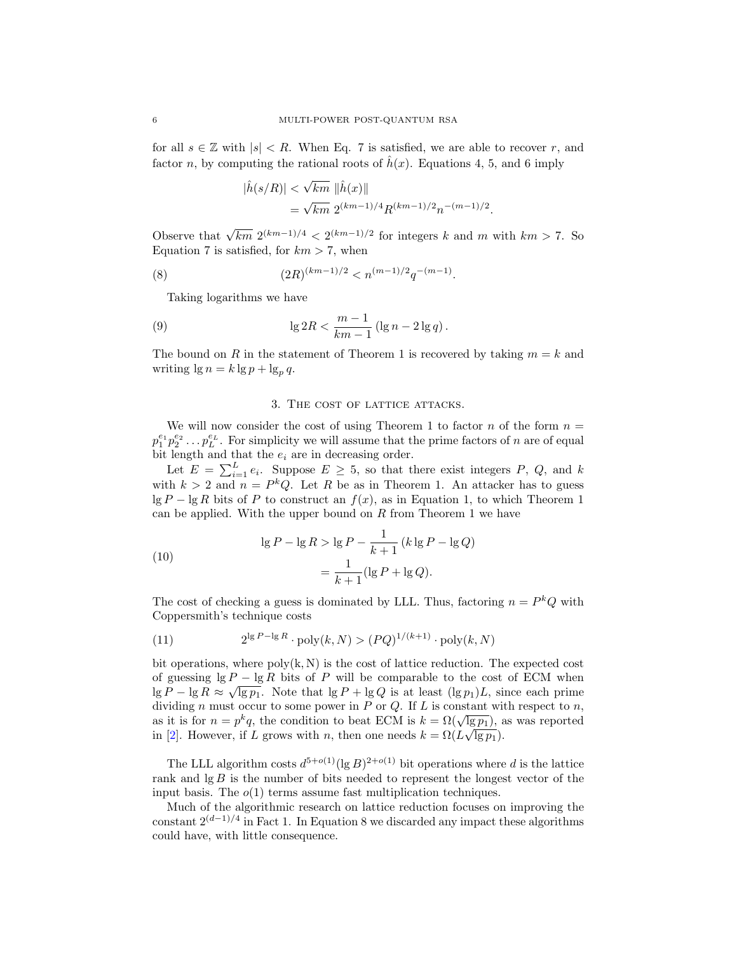for all  $s \in \mathbb{Z}$  with  $|s| < R$ . When Eq. [7](#page-4-1) is satisfied, we are able to recover r, and factor n, by computing the rational roots of  $\hat{h}(x)$ . Equations [4,](#page-4-0) [5,](#page-4-2) and [6](#page-4-3) imply

<span id="page-5-1"></span>
$$
\begin{aligned} |\hat{h}(s/R)| &< \sqrt{km} \|\hat{h}(x)\| \\ &= \sqrt{km} \ 2^{(km-1)/4} R^{(km-1)/2} n^{-(m-1)/2} . \end{aligned}
$$

Observe that  $\sqrt{km} \; 2^{(km-1)/4} < 2^{(km-1)/2}$  for integers k and m with  $km > 7$ . So Equation [7](#page-4-1) is satisfied, for  $km > 7$ , when

(8) 
$$
(2R)^{(km-1)/2} < n^{(m-1)/2}q^{-(m-1)}.
$$

Taking logarithms we have

(9) 
$$
\lg 2R < \frac{m-1}{km-1} \left( \lg n - 2 \lg q \right).
$$

The bound on R in the statement of Theorem [1](#page-3-0) is recovered by taking  $m = k$  and writing  $\lg n = k \lg p + \lg_p q$ .

### <span id="page-5-3"></span>3. The cost of lattice attacks.

<span id="page-5-0"></span>We will now consider the cost of using Theorem [1](#page-3-0) to factor  $n$  of the form  $n =$  $p_1^{e_1} p_2^{e_2} \dots p_L^{e_L}$ . For simplicity we will assume that the prime factors of n are of equal bit length and that the  $e_i$  are in decreasing order.

Let  $E = \sum_{i=1}^{L} e_i$ . Suppose  $E \geq 5$ , so that there exist integers P, Q, and k with  $k > 2$  and  $n = P^k Q$ . Let R be as in Theorem [1.](#page-3-0) An attacker has to guess  $\lg P - \lg R$  bits of P to construct an  $f(x)$ , as in Equation [1,](#page-3-1) to which Theorem [1](#page-3-0) can be applied. With the upper bound on  $R$  from Theorem [1](#page-3-0) we have

<span id="page-5-2"></span>(10) 
$$
\lg P - \lg R > \lg P - \frac{1}{k+1} \left( k \lg P - \lg Q \right) \\
= \frac{1}{k+1} (\lg P + \lg Q).
$$

The cost of checking a guess is dominated by LLL. Thus, factoring  $n = P^k Q$  with Coppersmith's technique costs

(11) 
$$
2^{\lg P - \lg R} \cdot \text{poly}(k, N) > (PQ)^{1/(k+1)} \cdot \text{poly}(k, N)
$$

bit operations, where  $poly(k, N)$  is the cost of lattice reduction. The expected cost of guessing  $\lg P - \lg R$  bits of P will be comparable to the cost of ECM when  $\lg P - \lg R \approx \sqrt{\lg p_1}$ . Note that  $\lg P + \lg Q$  is at least  $(\lg p_1)L$ , since each prime dividing n must occur to some power in  $P$  or  $Q$ . If  $L$  is constant with respect to  $n$ , as it is for  $n = p^k q$ , the condition to beat ECM is  $k = \Omega(\sqrt{\lg p_1})$ , as was reported in [\[2\]](#page-11-11). However, if L grows with n, then one needs  $k = \Omega(L\sqrt{\lg p_1}).$ 

The LLL algorithm costs  $d^{5+o(1)}(\lg B)^{2+o(1)}$  bit operations where d is the lattice rank and  $\lg B$  is the number of bits needed to represent the longest vector of the input basis. The  $o(1)$  terms assume fast multiplication techniques.

Much of the algorithmic research on lattice reduction focuses on improving the constant  $2^{(d-1)/4}$  in Fact [1.](#page-4-4) In Equation [8](#page-5-1) we discarded any impact these algorithms could have, with little consequence.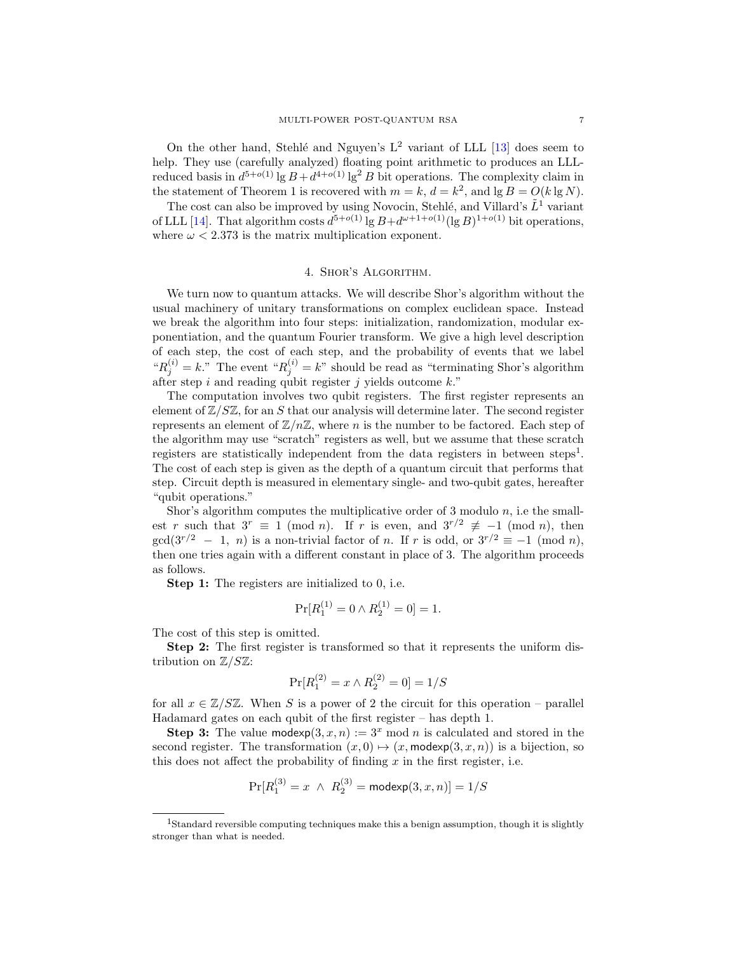On the other hand, Stehlé and Nguyen's  $L^2$  variant of LLL [\[13\]](#page-11-15) does seem to help. They use (carefully analyzed) floating point arithmetic to produces an LLLreduced basis in  $d^{5+o(1)}$  lg  $B + d^{4+o(1)}$  lg<sup>2</sup> B bit operations. The complexity claim in the statement of Theorem [1](#page-3-0) is recovered with  $m = k$ ,  $d = k^2$ , and  $\lg B = O(k \lg N)$ .

The cost can also be improved by using Novocin, Stehlé, and Villard's  $\tilde{L}^1$  variant of LLL [\[14\]](#page-11-16). That algorithm costs  $d^{5+o(1)} \lg B + d^{\omega+1+o(1)} (\lg B)^{1+o(1)}$  bit operations, where  $\omega < 2.373$  is the matrix multiplication exponent.

### 4. Shor's Algorithm.

<span id="page-6-0"></span>We turn now to quantum attacks. We will describe Shor's algorithm without the usual machinery of unitary transformations on complex euclidean space. Instead we break the algorithm into four steps: initialization, randomization, modular exponentiation, and the quantum Fourier transform. We give a high level description of each step, the cost of each step, and the probability of events that we label " $R_j^{(i)} = k$ ." The event " $R_j^{(i)} = k$ " should be read as "terminating Shor's algorithm" after step i and reading qubit register j yields outcome  $k$ ."

The computation involves two qubit registers. The first register represents an element of  $\mathbb{Z}/S\mathbb{Z}$ , for an S that our analysis will determine later. The second register represents an element of  $\mathbb{Z}/n\mathbb{Z}$ , where n is the number to be factored. Each step of the algorithm may use "scratch" registers as well, but we assume that these scratch registers are statistically independent from the data registers in between steps<sup>[1](#page-6-1)</sup>. The cost of each step is given as the depth of a quantum circuit that performs that step. Circuit depth is measured in elementary single- and two-qubit gates, hereafter "qubit operations."

Shor's algorithm computes the multiplicative order of 3 modulo  $n$ , i.e the smallest r such that  $3^r \equiv 1 \pmod{n}$ . If r is even, and  $3^{r/2} \not\equiv -1 \pmod{n}$ , then  $gcd(3^{r/2} - 1, n)$  is a non-trivial factor of n. If r is odd, or  $3^{r/2} \equiv -1 \pmod{n}$ , then one tries again with a different constant in place of 3. The algorithm proceeds as follows.

Step 1: The registers are initialized to 0, i.e.

$$
\Pr[R_1^{(1)} = 0 \land R_2^{(1)} = 0] = 1.
$$

The cost of this step is omitted.

Step 2: The first register is transformed so that it represents the uniform distribution on  $\mathbb{Z}/S\mathbb{Z}$ :

$$
\Pr[R_1^{(2)} = x \land R_2^{(2)} = 0] = 1/S
$$

for all  $x \in \mathbb{Z}/S\mathbb{Z}$ . When S is a power of 2 the circuit for this operation – parallel Hadamard gates on each qubit of the first register – has depth 1.

**Step 3:** The value modexp $(3, x, n) := 3^x \text{ mod } n$  is calculated and stored in the second register. The transformation  $(x, 0) \mapsto (x, \text{modexp}(3, x, n))$  is a bijection, so this does not affect the probability of finding  $x$  in the first register, i.e.

$$
\Pr[R_1^{(3)} = x \ \land \ R_2^{(3)} = \mathsf{modexp}(3, x, n)] = 1/S
$$

<span id="page-6-1"></span><sup>&</sup>lt;sup>1</sup>Standard reversible computing techniques make this a benign assumption, though it is slightly stronger than what is needed.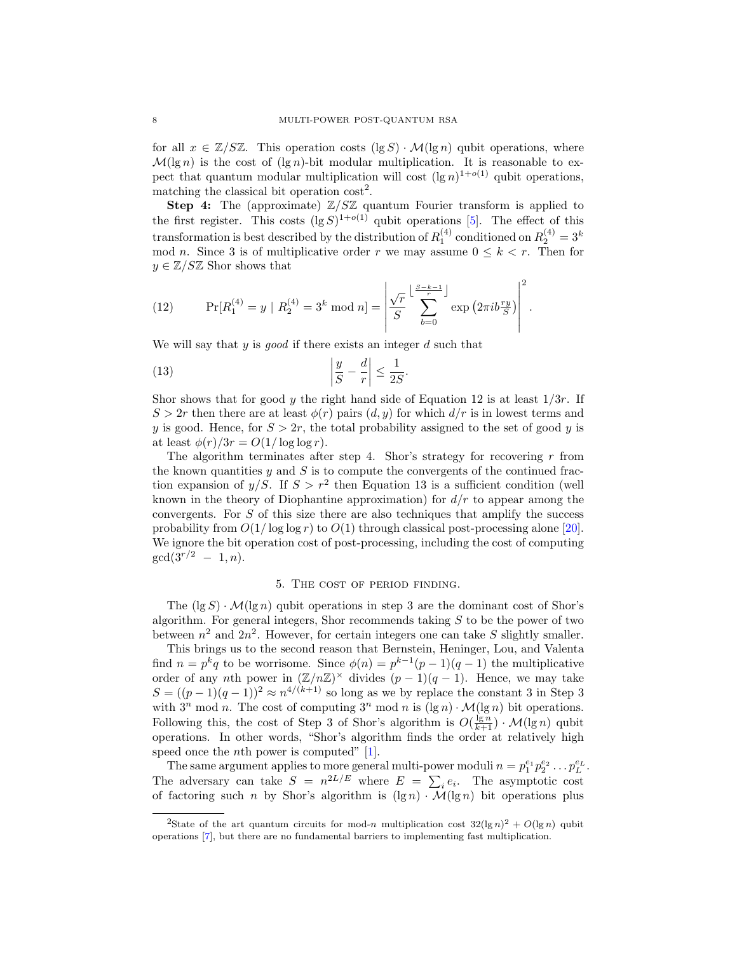for all  $x \in \mathbb{Z}/\mathbb{SZ}$ . This operation costs  $(\lg S) \cdot \mathcal{M}(\lg n)$  qubit operations, where  $\mathcal{M}(\lg n)$  is the cost of  $(\lg n)$ -bit modular multiplication. It is reasonable to expect that quantum modular multiplication will cost  $(\lg n)^{1+o(1)}$  qubit operations, matching the classical bit operation  $\cos t^2$  $\cos t^2$ .

Step 4: The (approximate)  $\mathbb{Z}/S\mathbb{Z}$  quantum Fourier transform is applied to the first register. This costs  $(\lg S)^{1+o(1)}$  qubit operations [\[5\]](#page-11-17). The effect of this transformation is best described by the distribution of  $R_1^{(4)}$  conditioned on  $R_2^{(4)} = 3^k$ mod n. Since 3 is of multiplicative order r we may assume  $0 \leq k \leq r$ . Then for  $y \in \mathbb{Z}/S\mathbb{Z}$  Shor shows that

<span id="page-7-2"></span>(12) 
$$
\Pr[R_1^{(4)} = y \mid R_2^{(4)} = 3^k \mod n] = \left| \frac{\sqrt{r}}{S} \sum_{b=0}^{\left[ \frac{S-k-1}{r} \right]} \exp \left( 2 \pi i b \frac{ry}{S} \right) \right|^2.
$$

We will say that  $y$  is good if there exists an integer  $d$  such that

<span id="page-7-3"></span>
$$
\left| \frac{y}{S} - \frac{d}{r} \right| \le \frac{1}{2S}.
$$

Shor shows that for good y the right hand side of Equation [12](#page-7-2) is at least  $1/3r$ . If  $S > 2r$  then there are at least  $\phi(r)$  pairs  $(d, y)$  for which  $d/r$  is in lowest terms and y is good. Hence, for  $S > 2r$ , the total probability assigned to the set of good y is at least  $\phi(r)/3r = O(1/\log \log r)$ .

The algorithm terminates after step 4. Shor's strategy for recovering  $r$  from the known quantities  $y$  and  $S$  is to compute the convergents of the continued fraction expansion of  $y/S$ . If  $S > r^2$  then Equation [13](#page-7-3) is a sufficient condition (well known in the theory of Diophantine approximation) for  $d/r$  to appear among the convergents. For S of this size there are also techniques that amplify the success probability from  $O(1/\log \log r)$  to  $O(1)$  through classical post-processing alone [\[20\]](#page-11-18). We ignore the bit operation cost of post-processing, including the cost of computing  $gcd(3^{r/2} - 1, n).$ 

### 5. The cost of period finding.

<span id="page-7-0"></span>The  $(\lg S) \cdot \mathcal{M}(\lg n)$  qubit operations in step 3 are the dominant cost of Shor's algorithm. For general integers, Shor recommends taking  $S$  to be the power of two between  $n^2$  and  $2n^2$ . However, for certain integers one can take S slightly smaller.

This brings us to the second reason that Bernstein, Heninger, Lou, and Valenta find  $n = p^k q$  to be worrisome. Since  $\phi(n) = p^{k-1}(p-1)(q-1)$  the multiplicative order of any nth power in  $(\mathbb{Z}/n\mathbb{Z})^{\times}$  divides  $(p-1)(q-1)$ . Hence, we may take  $S = ((p-1)(q-1))^2 \approx n^{4/(k+1)}$  so long as we by replace the constant 3 in Step 3 with  $3^n$  mod n. The cost of computing  $3^n$  mod n is  $(\lg n) \cdot \mathcal{M}(\lg n)$  bit operations. Following this, the cost of Step 3 of Shor's algorithm is  $O(\frac{\lg n}{k+1}) \cdot \mathcal{M}(\lg n)$  qubit operations. In other words, "Shor's algorithm finds the order at relatively high speed once the *n*th power is computed"  $[1]$ .

The same argument applies to more general multi-power moduli  $n = p_1^{e_1} p_2^{e_2} \dots p_L^{e_L}$ . The adversary can take  $S = n^{2L/E}$  where  $E = \sum_i e_i$ . The asymptotic cost of factoring such n by Shor's algorithm is  $(\lg n) \cdot \overline{\mathcal{M}}(\lg n)$  bit operations plus

<span id="page-7-1"></span><sup>&</sup>lt;sup>2</sup>State of the art quantum circuits for mod-n multiplication cost  $32(\lg n)^2 + O(\lg n)$  qubit operations [\[7\]](#page-11-19), but there are no fundamental barriers to implementing fast multiplication.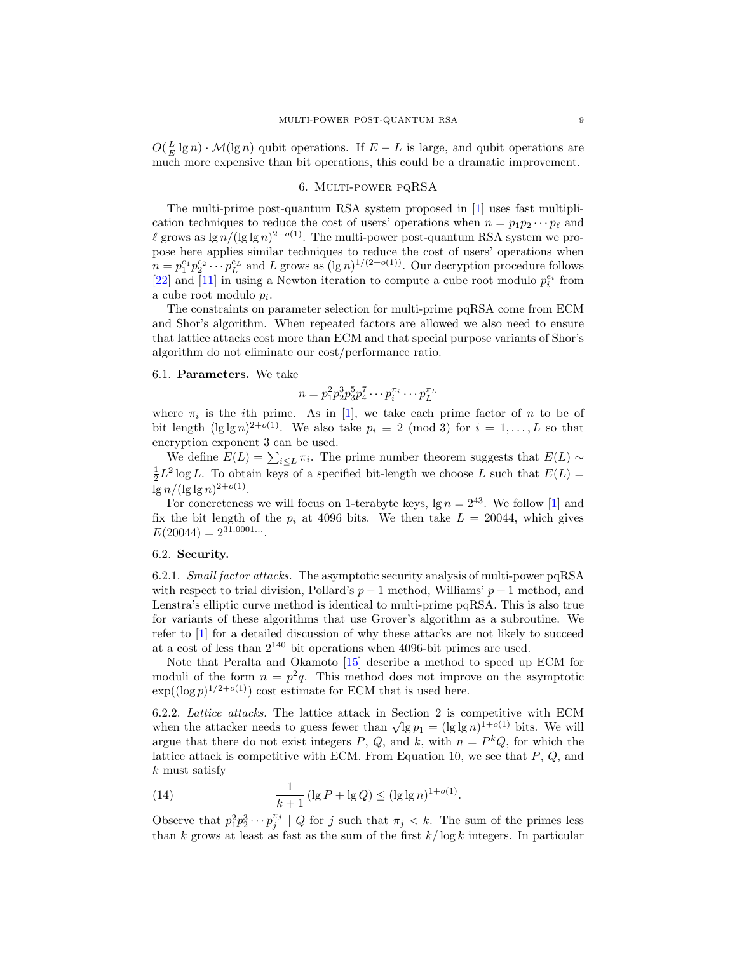$O(\frac{L}{E} \lg n) \cdot \mathcal{M}(\lg n)$  qubit operations. If  $E - L$  is large, and qubit operations are much more expensive than bit operations, this could be a dramatic improvement.

### 6. Multi-power pqRSA

<span id="page-8-0"></span>The multi-prime post-quantum RSA system proposed in [\[1\]](#page-11-7) uses fast multiplication techniques to reduce the cost of users' operations when  $n = p_1 p_2 \cdots p_\ell$  and l grows as  $\lg n/(\lg \lg n)^{2+o(1)}$ . The multi-power post-quantum RSA system we propose here applies similar techniques to reduce the cost of users' operations when  $n = p_1^{e_1} p_2^{e_2} \cdots p_L^{e_L}$  and L grows as  $(\lg n)^{1/(2+o(1))}$ . Our decryption procedure follows [\[22\]](#page-11-2) and [\[11\]](#page-11-4) in using a Newton iteration to compute a cube root modulo  $p_i^{e_i}$  from a cube root modulo  $p_i$ .

The constraints on parameter selection for multi-prime pqRSA come from ECM and Shor's algorithm. When repeated factors are allowed we also need to ensure that lattice attacks cost more than ECM and that special purpose variants of Shor's algorithm do not eliminate our cost/performance ratio.

#### 6.1. Parameters. We take

$$
n = p_1^2 p_2^3 p_3^5 p_4^7 \cdots p_i^{\pi_i} \cdots p_L^{\pi_L}
$$

where  $\pi_i$  is the *i*th prime. As in [\[1\]](#page-11-7), we take each prime factor of *n* to be of bit length  $(\lg \lg n)^{2+o(1)}$ . We also take  $p_i \equiv 2 \pmod{3}$  for  $i = 1, ..., L$  so that encryption exponent 3 can be used.

We define  $E(L) = \sum_{i \le L} \pi_i$ . The prime number theorem suggests that  $E(L) \sim$  $\frac{1}{2}L^2$  log L. To obtain keys of a specified bit-length we choose L such that  $E(L)$  =  $\lg n / (\lg \lg n)^{2+o(1)}$ .

For concreteness we will focus on 1-terabyte keys,  $\lg n = 2^{43}$ . We follow [\[1\]](#page-11-7) and fix the bit length of the  $p_i$  at 4096 bits. We then take  $L = 20044$ , which gives  $E(20044) = 2^{31.0001...}$ 

### 6.2. Security.

6.2.1. Small factor attacks. The asymptotic security analysis of multi-power pqRSA with respect to trial division, Pollard's  $p-1$  method, Williams'  $p+1$  method, and Lenstra's elliptic curve method is identical to multi-prime pqRSA. This is also true for variants of these algorithms that use Grover's algorithm as a subroutine. We refer to [\[1\]](#page-11-7) for a detailed discussion of why these attacks are not likely to succeed at a cost of less than  $2^{140}$  bit operations when 4096-bit primes are used.

Note that Peralta and Okamoto [\[15\]](#page-11-20) describe a method to speed up ECM for moduli of the form  $n = p^2q$ . This method does not improve on the asymptotic  $\exp((\log p)^{1/2+o(1)})$  cost estimate for ECM that is used here.

6.2.2. Lattice attacks. The lattice attack in Section [2](#page-2-0) is competitive with ECM 0.2.2. Lattice attacker in earlier attack in Section 2 is competitive with ECM when the attacker needs to guess fewer than  $\sqrt{\lg p_1} = (\lg \lg n)^{1+o(1)}$  bits. We will argue that there do not exist integers P, Q, and k, with  $n = P^k Q$ , for which the lattice attack is competitive with ECM. From Equation [10,](#page-5-2) we see that  $P, Q$ , and k must satisfy

<span id="page-8-1"></span>(14) 
$$
\frac{1}{k+1} (\lg P + \lg Q) \leq (\lg \lg n)^{1+o(1)}.
$$

Observe that  $p_1^2 p_2^3 \cdots p_j^{\pi_j} \mid Q$  for j such that  $\pi_j \leq k$ . The sum of the primes less than k grows at least as fast as the sum of the first  $k/\log k$  integers. In particular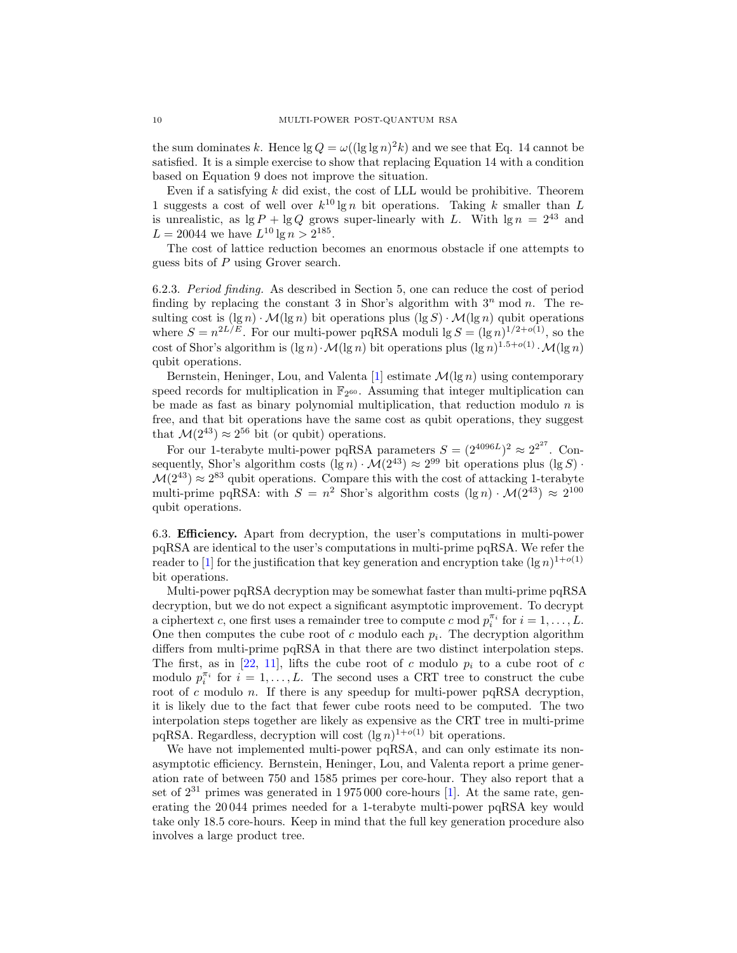the sum dominates k. Hence  $\lg Q = \omega((\lg \lg n)^2 k)$  and we see that Eq. [14](#page-8-1) cannot be satisfied. It is a simple exercise to show that replacing Equation [14](#page-8-1) with a condition based on Equation [9](#page-5-3) does not improve the situation.

Even if a satisfying  $k$  did exist, the cost of LLL would be prohibitive. Theorem [1](#page-3-0) suggests a cost of well over  $k^{10} \lg n$  bit operations. Taking k smaller than L is unrealistic, as  $\lg P + \lg Q$  grows super-linearly with L. With  $\lg n = 2^{43}$  and  $L = 20044$  we have  $L^{10} \lg n > 2^{185}$ .

The cost of lattice reduction becomes an enormous obstacle if one attempts to guess bits of P using Grover search.

<span id="page-9-0"></span>6.2.3. Period finding. As described in Section [5,](#page-7-0) one can reduce the cost of period finding by replacing the constant 3 in Shor's algorithm with  $3<sup>n</sup>$  mod n. The resulting cost is  $(\lg n) \cdot \mathcal{M}(\lg n)$  bit operations plus  $(\lg S) \cdot \mathcal{M}(\lg n)$  qubit operations where  $S = n^{2L/E}$ . For our multi-power pqRSA moduli lg  $S = (\lg n)^{1/2 + o(1)}$ , so the cost of Shor's algorithm is  $(\lg n) \cdot \mathcal{M}(\lg n)$  bit operations plus  $(\lg n)^{1.5+o(1)} \cdot \mathcal{M}(\lg n)$ qubit operations.

Bernstein, Heninger, Lou, and Valenta [\[1\]](#page-11-7) estimate  $\mathcal{M}(\lg n)$  using contemporary speed records for multiplication in  $\mathbb{F}_{2^{60}}$ . Assuming that integer multiplication can be made as fast as binary polynomial multiplication, that reduction modulo  $n$  is free, and that bit operations have the same cost as qubit operations, they suggest that  $\mathcal{M}(2^{43}) \approx 2^{56}$  bit (or qubit) operations.

For our 1-terabyte multi-power pqRSA parameters  $S = (2^{4096L})^2 \approx 2^{2^{27}}$ . Consequently, Shor's algorithm costs  $(\lg n) \cdot \mathcal{M}(2^{43}) \approx 2^{99}$  bit operations plus  $(\lg S) \cdot$  $\mathcal{M}(2^{43}) \approx 2^{83}$  qubit operations. Compare this with the cost of attacking 1-terabyte multi-prime pqRSA: with  $S = n^2$  Shor's algorithm costs  $(\lg n) \cdot \mathcal{M}(2^{43}) \approx 2^{100}$ qubit operations.

6.3. Efficiency. Apart from decryption, the user's computations in multi-power pqRSA are identical to the user's computations in multi-prime pqRSA. We refer the reader to [\[1\]](#page-11-7) for the justification that key generation and encryption take  $(\lg n)^{1+o(1)}$ bit operations.

Multi-power pqRSA decryption may be somewhat faster than multi-prime pqRSA decryption, but we do not expect a significant asymptotic improvement. To decrypt a ciphertext c, one first uses a remainder tree to compute c mod  $p_i^{\pi_i}$  for  $i = 1, ..., L$ . One then computes the cube root of  $c$  modulo each  $p_i$ . The decryption algorithm differs from multi-prime pqRSA in that there are two distinct interpolation steps. The first, as in [\[22,](#page-11-2) [11\]](#page-11-4), lifts the cube root of c modulo  $p_i$  to a cube root of c modulo  $p_i^{\pi_i}$  for  $i = 1, ..., L$ . The second uses a CRT tree to construct the cube root of c modulo n. If there is any speedup for multi-power pqRSA decryption, it is likely due to the fact that fewer cube roots need to be computed. The two interpolation steps together are likely as expensive as the CRT tree in multi-prime pqRSA. Regardless, decryption will cost  $(\lg n)^{1+o(1)}$  bit operations.

We have not implemented multi-power pqRSA, and can only estimate its nonasymptotic efficiency. Bernstein, Heninger, Lou, and Valenta report a prime generation rate of between 750 and 1585 primes per core-hour. They also report that a set of  $2^{31}$  primes was generated in  $1975000$  core-hours [\[1\]](#page-11-7). At the same rate, generating the 20 044 primes needed for a 1-terabyte multi-power pqRSA key would take only 18.5 core-hours. Keep in mind that the full key generation procedure also involves a large product tree.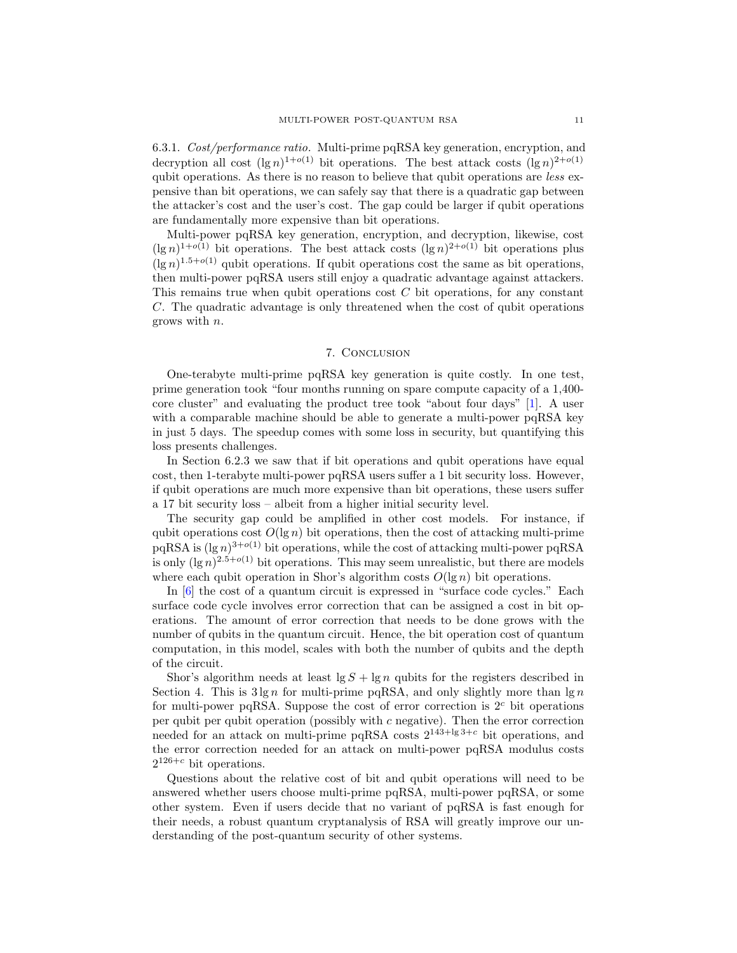6.3.1. Cost/performance ratio. Multi-prime pqRSA key generation, encryption, and decryption all cost  $(\lg n)^{1+o(1)}$  bit operations. The best attack costs  $(\lg n)^{2+o(1)}$ qubit operations. As there is no reason to believe that qubit operations are *less* expensive than bit operations, we can safely say that there is a quadratic gap between the attacker's cost and the user's cost. The gap could be larger if qubit operations are fundamentally more expensive than bit operations.

Multi-power pqRSA key generation, encryption, and decryption, likewise, cost  $(\lg n)^{1+o(1)}$  bit operations. The best attack costs  $(\lg n)^{2+o(1)}$  bit operations plus  $(\lg n)^{1.5+o(1)}$  qubit operations. If qubit operations cost the same as bit operations, then multi-power pqRSA users still enjoy a quadratic advantage against attackers. This remains true when qubit operations cost C bit operations, for any constant C. The quadratic advantage is only threatened when the cost of qubit operations grows with n.

#### 7. Conclusion

One-terabyte multi-prime pqRSA key generation is quite costly. In one test, prime generation took "four months running on spare compute capacity of a 1,400 core cluster" and evaluating the product tree took "about four days" [\[1\]](#page-11-7). A user with a comparable machine should be able to generate a multi-power pqRSA key in just 5 days. The speedup comes with some loss in security, but quantifying this loss presents challenges.

In Section [6.2.3](#page-9-0) we saw that if bit operations and qubit operations have equal cost, then 1-terabyte multi-power pqRSA users suffer a 1 bit security loss. However, if qubit operations are much more expensive than bit operations, these users suffer a 17 bit security loss – albeit from a higher initial security level.

The security gap could be amplified in other cost models. For instance, if qubit operations cost  $O(\lg n)$  bit operations, then the cost of attacking multi-prime  $pqRSA$  is  $(lg n)^{3+o(1)}$  bit operations, while the cost of attacking multi-power  $pqRSA$ is only  $(\lg n)^{2.5+o(1)}$  bit operations. This may seem unrealistic, but there are models where each qubit operation in Shor's algorithm costs  $O(\lg n)$  bit operations.

In [\[6\]](#page-11-21) the cost of a quantum circuit is expressed in "surface code cycles." Each surface code cycle involves error correction that can be assigned a cost in bit operations. The amount of error correction that needs to be done grows with the number of qubits in the quantum circuit. Hence, the bit operation cost of quantum computation, in this model, scales with both the number of qubits and the depth of the circuit.

Shor's algorithm needs at least  $\lg S + \lg n$  qubits for the registers described in Section [4.](#page-6-0) This is  $3 \lg n$  for multi-prime pqRSA, and only slightly more than  $\lg n$ for multi-power pqRSA. Suppose the cost of error correction is  $2<sup>c</sup>$  bit operations per qubit per qubit operation (possibly with c negative). Then the error correction needed for an attack on multi-prime pqRSA costs  $2^{143+\log 3+c}$  bit operations, and the error correction needed for an attack on multi-power pqRSA modulus costs  $2^{126+c}$  bit operations.

Questions about the relative cost of bit and qubit operations will need to be answered whether users choose multi-prime pqRSA, multi-power pqRSA, or some other system. Even if users decide that no variant of pqRSA is fast enough for their needs, a robust quantum cryptanalysis of RSA will greatly improve our understanding of the post-quantum security of other systems.